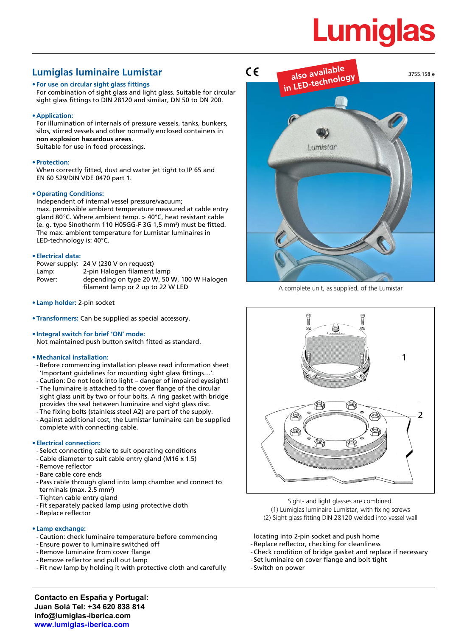# **Lumiglas**

# **Lumiglas luminaire Lumistar**

# **• For use on circular sight glass fittings**

For combination of sight glass and light glass. Suitable for circular sight glass fittings to DIN 28120 and similar, DN 50 to DN 200.

**• Application:**

For illumination of internals of pressure vessels, tanks, bunkers, silos, stirred vessels and other normally enclosed containers in **non explosion hazardous areas**. Suitable for use in food processings.

## **• Protection:**

When correctly fitted, dust and water jet tight to IP 65 and EN 60 529/DIN VDE 0470 part 1.

## **• Operating Conditions:**

Independent of internal vessel pressure/vacuum; max. permissible ambient temperature measured at cable entry gland 80°C. Where ambient temp. > 40°C, heat resistant cable (e. g. type Sinotherm 110 H05GG-F 3G 1,5 mm²) must be fitted. The max. ambient temperature for Lumistar luminaires in LED-technology is: 40°C.

#### **• Electrical data:**

|        | Power supply: 24 V (230 V on request)                                            |
|--------|----------------------------------------------------------------------------------|
| Lamp:  | 2-pin Halogen filament lamp                                                      |
| Power: | depending on type 20 W, 50 W, 100 W Halogen<br>filament lamp or 2 up to 22 W LED |

- **• Lamp holder:** 2-pin socket
- **• Transformers:** Can be supplied as special accessory.
- **• Integral switch for brief 'ON' mode:** Not maintained push button switch fitted as standard.

#### **• Mechanical installation:**

- Before commencing installation please read information sheet 'Important guidelines for mounting sight glass fittings…'.
- Caution: Do not look into light danger of impaired eyesight! - The luminaire is attached to the cover flange of the circular sight glass unit by two or four bolts. A ring gasket with bridge provides the seal between luminaire and sight glass disc.
- The fixing bolts (stainless steel A2) are part of the supply.
- Against additional cost, the Lumistar luminaire can be supplied complete with connecting cable.

## **• Electrical connection:**

- Select connecting cable to suit operating conditions
- Cable diameter to suit cable entry gland (M16 x 1.5)
- Remove reflector
- Bare cable core ends
- Pass cable through gland into lamp chamber and connect to terminals (max. 2.5 mm²)
- Tighten cable entry gland
- Fit separately packed lamp using protective cloth
- Replace reflector

#### **• Lamp exchange:**

- Caution: check luminaire temperature before commencing
- Ensure power to luminaire switched off
- Remove luminaire from cover flange
- Remove reflector and pull out lamp
- Fit new lamp by holding it with protective cloth and carefully



A complete unit, as supplied, of the Lumistar



Sight- and light glasses are combined. (1) Lumiglas luminaire Lumistar, with fixing screws (2) Sight glass fitting DIN 28120 welded into vessel wall

locating into 2-pin socket and push home

- Replace reflector, checking for cleanliness
- Check condition of bridge gasket and replace if necessary
- Set luminaire on cover flange and bolt tight
- Switch on power

**Contacto en España y Portugal: Juan Solá Tel: +34 620 838 814 info@lumiglas-iberica.com www.lumiglas-iberica.com**